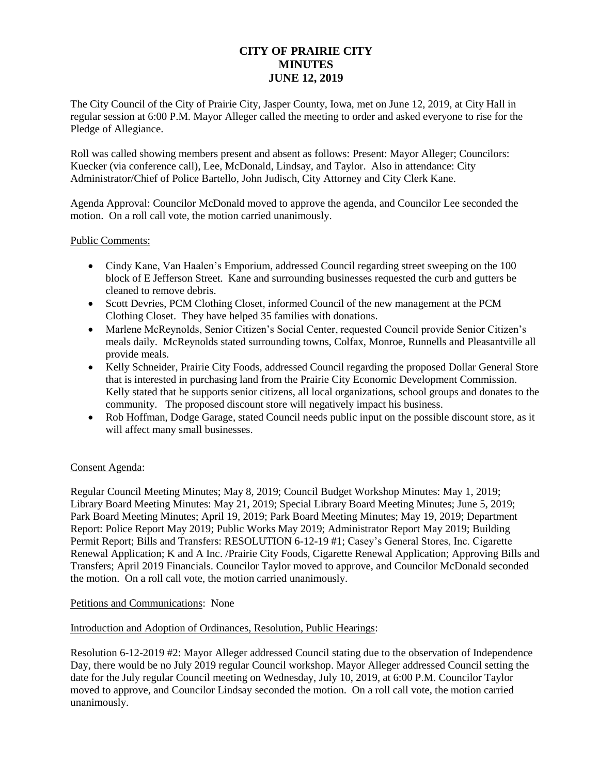# **CITY OF PRAIRIE CITY MINUTES JUNE 12, 2019**

The City Council of the City of Prairie City, Jasper County, Iowa, met on June 12, 2019, at City Hall in regular session at 6:00 P.M. Mayor Alleger called the meeting to order and asked everyone to rise for the Pledge of Allegiance.

Roll was called showing members present and absent as follows: Present: Mayor Alleger; Councilors: Kuecker (via conference call), Lee, McDonald, Lindsay, and Taylor. Also in attendance: City Administrator/Chief of Police Bartello, John Judisch, City Attorney and City Clerk Kane.

Agenda Approval: Councilor McDonald moved to approve the agenda, and Councilor Lee seconded the motion. On a roll call vote, the motion carried unanimously.

## Public Comments:

- Cindy Kane, Van Haalen's Emporium, addressed Council regarding street sweeping on the 100 block of E Jefferson Street. Kane and surrounding businesses requested the curb and gutters be cleaned to remove debris.
- Scott Devries, PCM Clothing Closet, informed Council of the new management at the PCM Clothing Closet. They have helped 35 families with donations.
- Marlene McReynolds, Senior Citizen's Social Center, requested Council provide Senior Citizen's meals daily. McReynolds stated surrounding towns, Colfax, Monroe, Runnells and Pleasantville all provide meals.
- Kelly Schneider, Prairie City Foods, addressed Council regarding the proposed Dollar General Store that is interested in purchasing land from the Prairie City Economic Development Commission. Kelly stated that he supports senior citizens, all local organizations, school groups and donates to the community. The proposed discount store will negatively impact his business.
- Rob Hoffman, Dodge Garage, stated Council needs public input on the possible discount store, as it will affect many small businesses.

#### Consent Agenda:

Regular Council Meeting Minutes; May 8, 2019; Council Budget Workshop Minutes: May 1, 2019; Library Board Meeting Minutes: May 21, 2019; Special Library Board Meeting Minutes; June 5, 2019; Park Board Meeting Minutes; April 19, 2019; Park Board Meeting Minutes; May 19, 2019; Department Report: Police Report May 2019; Public Works May 2019; Administrator Report May 2019; Building Permit Report; Bills and Transfers: RESOLUTION 6-12-19 #1; Casey's General Stores, Inc. Cigarette Renewal Application; K and A Inc. /Prairie City Foods, Cigarette Renewal Application; Approving Bills and Transfers; April 2019 Financials. Councilor Taylor moved to approve, and Councilor McDonald seconded the motion. On a roll call vote, the motion carried unanimously.

#### Petitions and Communications: None

#### Introduction and Adoption of Ordinances, Resolution, Public Hearings:

Resolution 6-12-2019 #2: Mayor Alleger addressed Council stating due to the observation of Independence Day, there would be no July 2019 regular Council workshop. Mayor Alleger addressed Council setting the date for the July regular Council meeting on Wednesday, July 10, 2019, at 6:00 P.M. Councilor Taylor moved to approve, and Councilor Lindsay seconded the motion. On a roll call vote, the motion carried unanimously.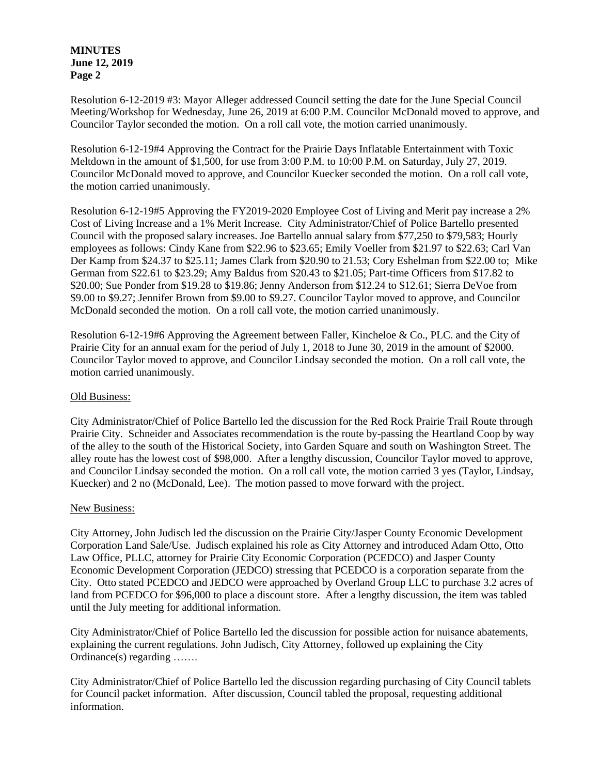**MINUTES June 12, 2019 Page 2**

Resolution 6-12-2019 #3: Mayor Alleger addressed Council setting the date for the June Special Council Meeting/Workshop for Wednesday, June 26, 2019 at 6:00 P.M. Councilor McDonald moved to approve, and Councilor Taylor seconded the motion. On a roll call vote, the motion carried unanimously.

Resolution 6-12-19#4 Approving the Contract for the Prairie Days Inflatable Entertainment with Toxic Meltdown in the amount of \$1,500, for use from 3:00 P.M. to 10:00 P.M. on Saturday, July 27, 2019. Councilor McDonald moved to approve, and Councilor Kuecker seconded the motion. On a roll call vote, the motion carried unanimously.

Resolution 6-12-19#5 Approving the FY2019-2020 Employee Cost of Living and Merit pay increase a 2% Cost of Living Increase and a 1% Merit Increase. City Administrator/Chief of Police Bartello presented Council with the proposed salary increases. Joe Bartello annual salary from \$77,250 to \$79,583; Hourly employees as follows: Cindy Kane from \$22.96 to \$23.65; Emily Voeller from \$21.97 to \$22.63; Carl Van Der Kamp from \$24.37 to \$25.11; James Clark from \$20.90 to 21.53; Cory Eshelman from \$22.00 to; Mike German from \$22.61 to \$23.29; Amy Baldus from \$20.43 to \$21.05; Part-time Officers from \$17.82 to \$20.00; Sue Ponder from \$19.28 to \$19.86; Jenny Anderson from \$12.24 to \$12.61; Sierra DeVoe from \$9.00 to \$9.27; Jennifer Brown from \$9.00 to \$9.27. Councilor Taylor moved to approve, and Councilor McDonald seconded the motion. On a roll call vote, the motion carried unanimously.

Resolution 6-12-19#6 Approving the Agreement between Faller, Kincheloe & Co., PLC. and the City of Prairie City for an annual exam for the period of July 1, 2018 to June 30, 2019 in the amount of \$2000. Councilor Taylor moved to approve, and Councilor Lindsay seconded the motion. On a roll call vote, the motion carried unanimously.

#### Old Business:

City Administrator/Chief of Police Bartello led the discussion for the Red Rock Prairie Trail Route through Prairie City. Schneider and Associates recommendation is the route by-passing the Heartland Coop by way of the alley to the south of the Historical Society, into Garden Square and south on Washington Street. The alley route has the lowest cost of \$98,000. After a lengthy discussion, Councilor Taylor moved to approve, and Councilor Lindsay seconded the motion. On a roll call vote, the motion carried 3 yes (Taylor, Lindsay, Kuecker) and 2 no (McDonald, Lee). The motion passed to move forward with the project.

#### New Business:

City Attorney, John Judisch led the discussion on the Prairie City/Jasper County Economic Development Corporation Land Sale/Use. Judisch explained his role as City Attorney and introduced Adam Otto, Otto Law Office, PLLC, attorney for Prairie City Economic Corporation (PCEDCO) and Jasper County Economic Development Corporation (JEDCO) stressing that PCEDCO is a corporation separate from the City. Otto stated PCEDCO and JEDCO were approached by Overland Group LLC to purchase 3.2 acres of land from PCEDCO for \$96,000 to place a discount store. After a lengthy discussion, the item was tabled until the July meeting for additional information.

City Administrator/Chief of Police Bartello led the discussion for possible action for nuisance abatements, explaining the current regulations. John Judisch, City Attorney, followed up explaining the City Ordinance(s) regarding …….

City Administrator/Chief of Police Bartello led the discussion regarding purchasing of City Council tablets for Council packet information. After discussion, Council tabled the proposal, requesting additional information.